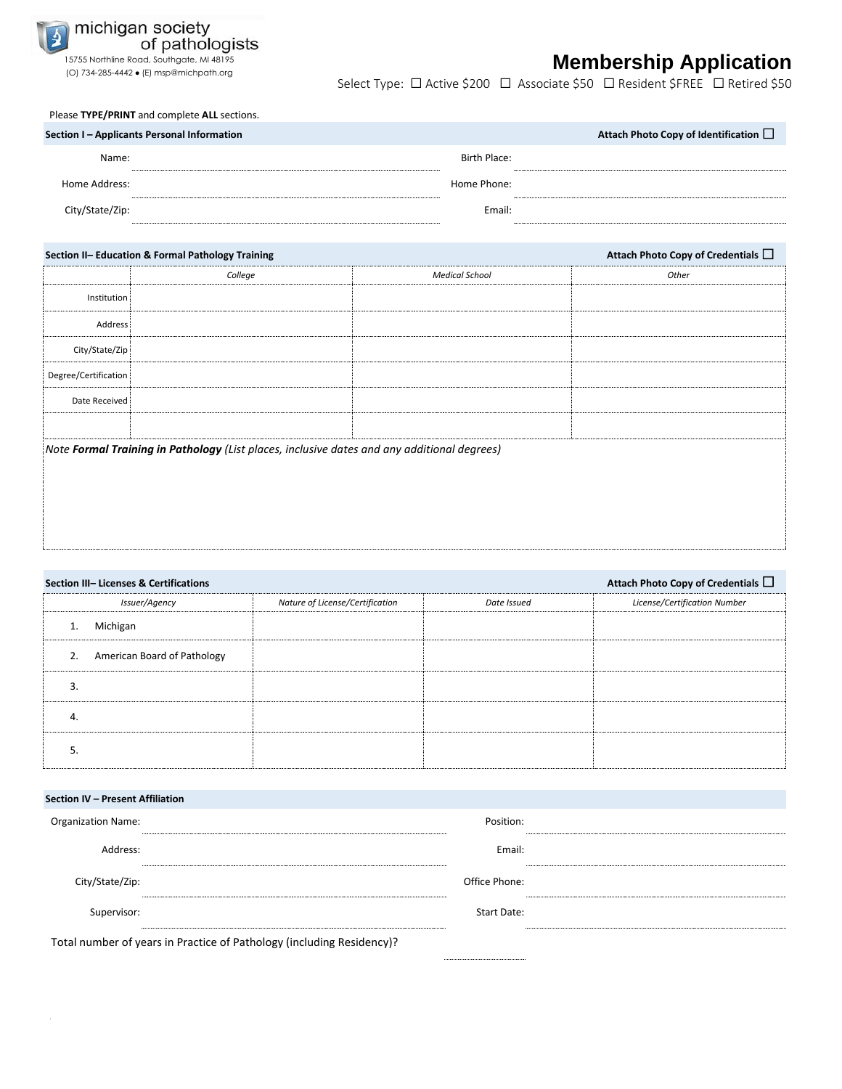

## 15755 Northline Road, Southgate, MI 48195 **Membership Application** (O) 734-285-4442  $\bullet$  (E) msp@michpath.org

Select Type: □ Active \$200 □ Associate \$50 □ Resident \$FREE □ Retired \$50

Please **TYPE/PRINT** and complete **ALL** sections.

| Section I – Applicants Personal Information |              | Attach Photo Copy of Identification $\Box$ |
|---------------------------------------------|--------------|--------------------------------------------|
| Name:                                       | Birth Place: |                                            |
| Home Address:                               | Home Phone:  |                                            |
| City/State/Zip:                             | Email:       |                                            |

|                                                                                             | Section II- Education & Formal Pathology Training | Attach Photo Copy of Credentials $\Box$ |       |  |  |  |  |  |
|---------------------------------------------------------------------------------------------|---------------------------------------------------|-----------------------------------------|-------|--|--|--|--|--|
|                                                                                             | College                                           | <b>Medical School</b>                   | Other |  |  |  |  |  |
| Institution                                                                                 |                                                   |                                         |       |  |  |  |  |  |
| Address                                                                                     |                                                   |                                         |       |  |  |  |  |  |
| City/State/Zip                                                                              |                                                   |                                         |       |  |  |  |  |  |
| Degree/Certification                                                                        |                                                   |                                         |       |  |  |  |  |  |
| Date Received                                                                               |                                                   |                                         |       |  |  |  |  |  |
|                                                                                             |                                                   |                                         |       |  |  |  |  |  |
| Note Formal Training in Pathology (List places, inclusive dates and any additional degrees) |                                                   |                                         |       |  |  |  |  |  |
|                                                                                             |                                                   |                                         |       |  |  |  |  |  |
|                                                                                             |                                                   |                                         |       |  |  |  |  |  |
|                                                                                             |                                                   |                                         |       |  |  |  |  |  |

| Attach Photo Copy of Credentials $\Box$<br>Section III- Licenses & Certifications |                                 |             |                              |  |  |  |  |
|-----------------------------------------------------------------------------------|---------------------------------|-------------|------------------------------|--|--|--|--|
| Issuer/Agency                                                                     | Nature of License/Certification | Date Issued | License/Certification Number |  |  |  |  |
| Michigan<br>1.                                                                    |                                 |             |                              |  |  |  |  |
| American Board of Pathology<br>2.                                                 |                                 |             |                              |  |  |  |  |
| 3                                                                                 |                                 |             |                              |  |  |  |  |
| 4.                                                                                |                                 |             |                              |  |  |  |  |
|                                                                                   |                                 |             |                              |  |  |  |  |

| Section IV - Present Affiliation                                      |               |  |  |  |  |
|-----------------------------------------------------------------------|---------------|--|--|--|--|
| <b>Organization Name:</b>                                             | Position:     |  |  |  |  |
| Address:                                                              | Email:        |  |  |  |  |
| City/State/Zip:                                                       | Office Phone: |  |  |  |  |
| Supervisor:                                                           | Start Date:   |  |  |  |  |
| Total number of years in Practice of Pathology (including Residency)? |               |  |  |  |  |